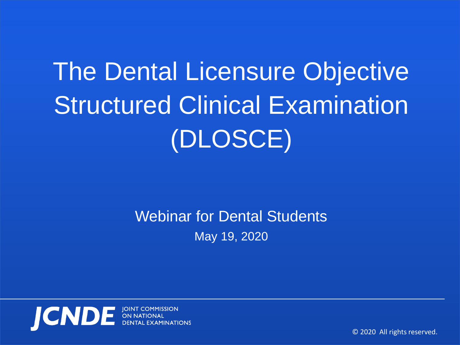# The Dental Licensure Objective Structured Clinical Examination (DLOSCE)

Webinar for Dental Students May 19, 2020



© 2020 All rights reserved.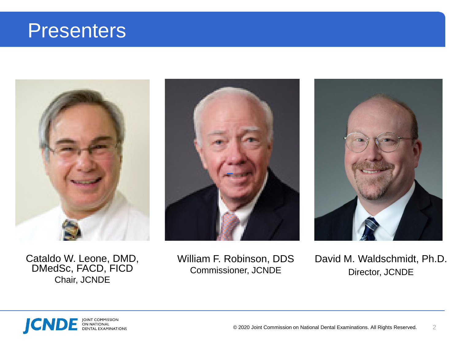## **Presenters**



Cataldo W. Leone, DMD,<br>DMedSc, FACD, FICD Chair, JCNDE







David M. Waldschmidt, Ph.D. Director, JCNDE

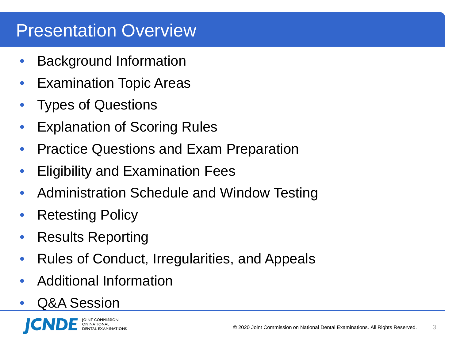### Presentation Overview

- Background Information
- Examination Topic Areas
- Types of Questions
- **Explanation of Scoring Rules**
- Practice Questions and Exam Preparation
- Eligibility and Examination Fees
- Administration Schedule and Window Testing
- Retesting Policy
- Results Reporting
- Rules of Conduct, Irregularities, and Appeals
- Additional Information
- Q&A Session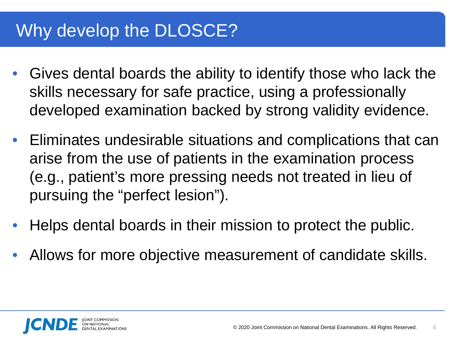## Why develop the **DLOSCE?**

- Gives dental boards the ability to identify those who lack the skills necessary for safe practice, using a professionally developed examination backed by strong validity evidence.
- Eliminates undesirable situations and complications that can arise from the use of patients in the examination process (e.g., patient's more pressing needs not treated in lieu of pursuing the "perfect lesion").
- Helps dental boards in their mission to protect the public.
- Allows for more objective measurement of candidate skills.

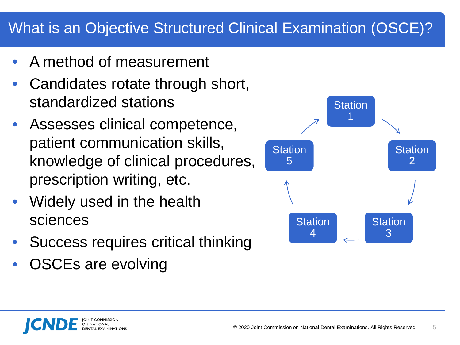### What is an Objective Structured Clinical Examination (OSCE)?

- A method of measurement
- Candidates rotate through short, standardized stations
- Assesses clinical competence, patient communication skills, knowledge of clinical procedures, prescription writing, etc.
- Widely used in the health sciences
- Success requires critical thinking
- OSCEs are evolving

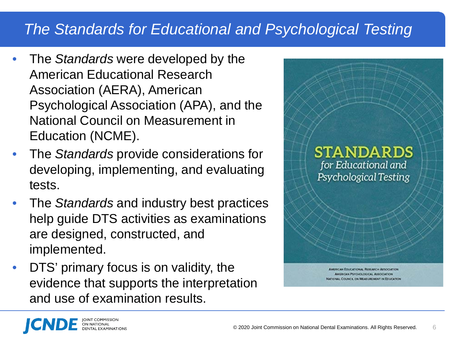### *The Standards for Educational and Psychological Testing*

- The *Standards* were developed by the American Educational Research Association (AERA), American Psychological Association (APA), and the National Council on Measurement in Education (NCME).
- The *Standards* provide considerations for developing, implementing, and evaluating tests.
- The *Standards* and industry best practices help guide DTS activities as examinations are designed, constructed, and implemented.
- DTS' primary focus is on validity, the evidence that supports the interpretation and use of examination results.

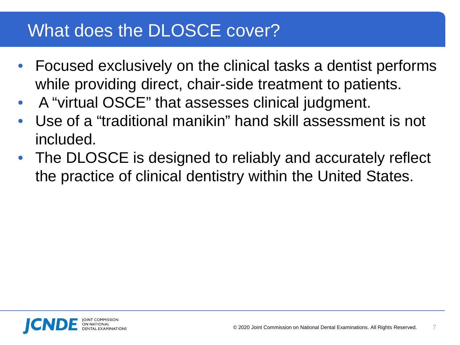### What does the DLOSCE cover?

- Focused exclusively on the clinical tasks a dentist performs while providing direct, chair-side treatment to patients.
- A "virtual OSCE" that assesses clinical judgment.
- Use of a "traditional manikin" hand skill assessment is not included.
- The DLOSCE is designed to reliably and accurately reflect the practice of clinical dentistry within the United States.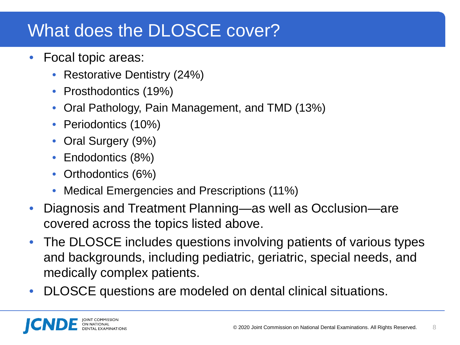## What does the DLOSCE cover?

- Focal topic areas:
	- Restorative Dentistry (24%)
	- Prosthodontics (19%)
	- Oral Pathology, Pain Management, and TMD (13%)
	- Periodontics (10%)
	- Oral Surgery (9%)
	- Endodontics (8%)
	- Orthodontics (6%)
	- Medical Emergencies and Prescriptions (11%)
- Diagnosis and Treatment Planning—as well as Occlusion—are covered across the topics listed above.
- The DLOSCE includes questions involving patients of various types and backgrounds, including pediatric, geriatric, special needs, and medically complex patients.
- DLOSCE questions are modeled on dental clinical situations.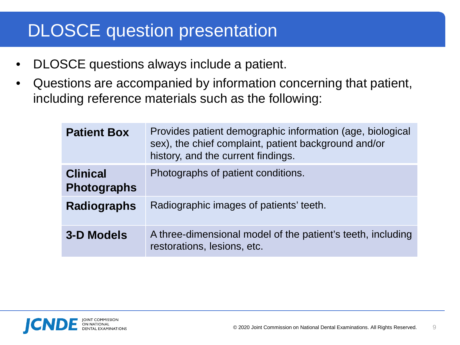## DLOSCE question presentation

- DLOSCE questions always include a patient.
- Questions are accompanied by information concerning that patient, including reference materials such as the following:

| <b>Patient Box</b>                    | Provides patient demographic information (age, biological<br>sex), the chief complaint, patient background and/or<br>history, and the current findings. |
|---------------------------------------|---------------------------------------------------------------------------------------------------------------------------------------------------------|
| <b>Clinical</b><br><b>Photographs</b> | Photographs of patient conditions.                                                                                                                      |
| <b>Radiographs</b>                    | Radiographic images of patients' teeth.                                                                                                                 |
| 3-D Models                            | A three-dimensional model of the patient's teeth, including<br>restorations, lesions, etc.                                                              |

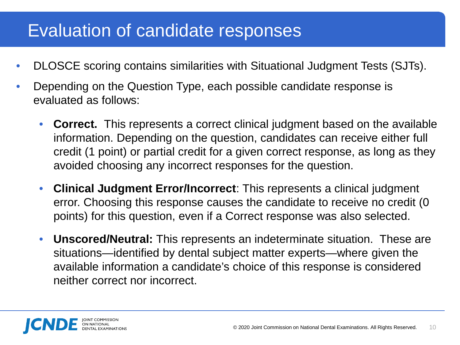### Evaluation of candidate responses

- DLOSCE scoring contains similarities with Situational Judgment Tests (SJTs).
- Depending on the Question Type, each possible candidate response is evaluated as follows:
	- **Correct.** This represents a correct clinical judgment based on the available information. Depending on the question, candidates can receive either full credit (1 point) or partial credit for a given correct response, as long as they avoided choosing any incorrect responses for the question.
	- **Clinical Judgment Error/Incorrect**: This represents a clinical judgment error. Choosing this response causes the candidate to receive no credit (0 points) for this question, even if a Correct response was also selected.
	- **Unscored/Neutral:** This represents an indeterminate situation. These are situations—identified by dental subject matter experts—where given the available information a candidate's choice of this response is considered neither correct nor incorrect.

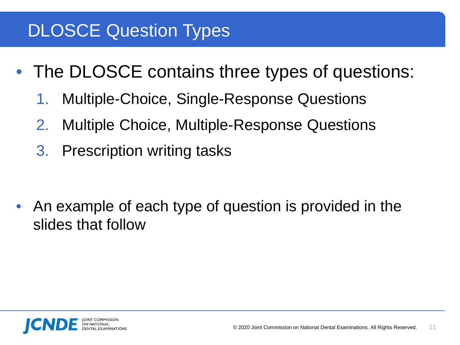## DLOSCE Question Types

- The DLOSCE contains three types of questions:
	- 1. Multiple-Choice, Single-Response Questions
	- 2. Multiple Choice, Multiple-Response Questions
	- 3. Prescription writing tasks

• An example of each type of question is provided in the slides that follow

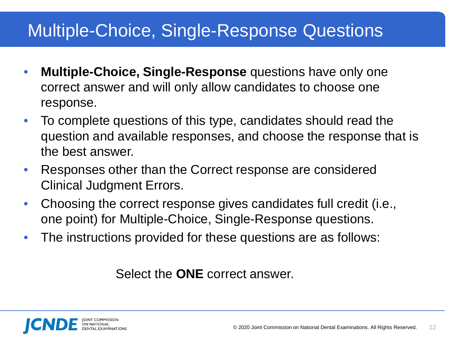### Multiple-Choice, Single-Response Questions

- **Multiple-Choice, Single-Response** questions have only one correct answer and will only allow candidates to choose one response.
- To complete questions of this type, candidates should read the question and available responses, and choose the response that is the best answer.
- Responses other than the Correct response are considered Clinical Judgment Errors.
- Choosing the correct response gives candidates full credit (i.e., one point) for Multiple-Choice, Single-Response questions.
- The instructions provided for these questions are as follows:

Select the **ONE** correct answer.

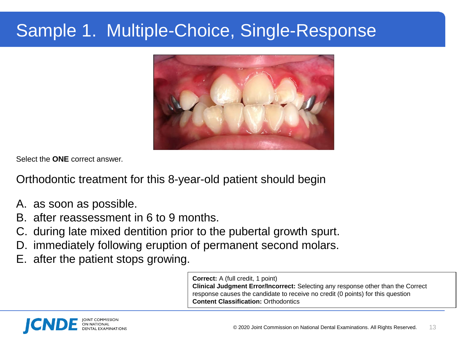## Sample 1. Multiple-Choice, Single-Response



Select the **ONE** correct answer.

Orthodontic treatment for this 8-year-old patient should begin

- A. as soon as possible.
- B. after reassessment in 6 to 9 months.
- C. during late mixed dentition prior to the pubertal growth spurt.
- D. immediately following eruption of permanent second molars.
- E. after the patient stops growing.

**Correct:** A (full credit, 1 point) **Clinical Judgment Error/Incorrect:** Selecting any response other than the Correct response causes the candidate to receive no credit (0 points) for this question **Content Classification:** Orthodontics

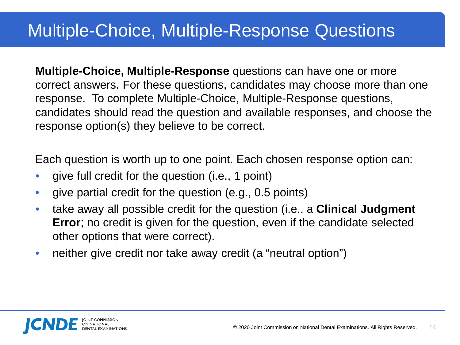### Multiple-Choice, Multiple-Response Questions

**Multiple-Choice, Multiple-Response** questions can have one or more correct answers. For these questions, candidates may choose more than one response. To complete Multiple-Choice, Multiple-Response questions, candidates should read the question and available responses, and choose the response option(s) they believe to be correct.

Each question is worth up to one point. Each chosen response option can:

- give full credit for the question (i.e., 1 point)
- give partial credit for the question (e.g., 0.5 points)
- take away all possible credit for the question (i.e., a **Clinical Judgment Error**; no credit is given for the question, even if the candidate selected other options that were correct).
- neither give credit nor take away credit (a "neutral option")

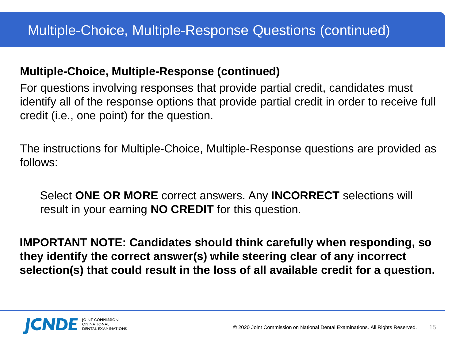### **Multiple-Choice, Multiple-Response (continued)**

For questions involving responses that provide partial credit, candidates must identify all of the response options that provide partial credit in order to receive full credit (i.e., one point) for the question.

The instructions for Multiple-Choice, Multiple-Response questions are provided as follows:

Select **ONE OR MORE** correct answers. Any **INCORRECT** selections will result in your earning **NO CREDIT** for this question.

**IMPORTANT NOTE: Candidates should think carefully when responding, so they identify the correct answer(s) while steering clear of any incorrect selection(s) that could result in the loss of all available credit for a question.** 

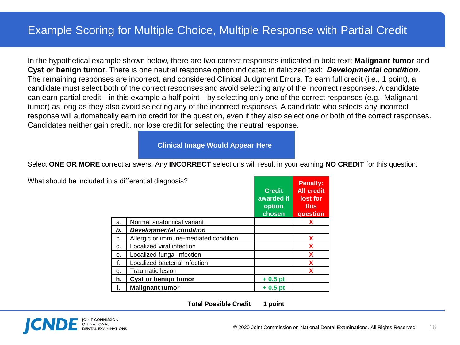In the hypothetical example shown below, there are two correct responses indicated in bold text: **Malignant tumor** and **Cyst or benign tumor**. There is one neutral response option indicated in italicized text: *Developmental condition*. The remaining responses are incorrect, and considered Clinical Judgment Errors. To earn full credit (i.e., 1 point), a candidate must select both of the correct responses and avoid selecting any of the incorrect responses. A candidate can earn partial credit—in this example a half point—by selecting only one of the correct responses (e.g., Malignant tumor) as long as they also avoid selecting any of the incorrect responses. A candidate who selects any incorrect response will automatically earn no credit for the question, even if they also select one or both of the correct responses. Candidates neither gain credit, nor lose credit for selecting the neutral response.

**Clinical Image Would Appear Here**

Select **ONE OR MORE** correct answers. Any **INCORRECT** selections will result in your earning **NO CREDIT** for this question.

| What should be included in a differential diagnosis? |  |
|------------------------------------------------------|--|
|                                                      |  |

|    |                                       | <b>Credit</b><br>awarded if<br>option<br>chosen | <b>All credit</b><br>lost for<br>this<br>question |
|----|---------------------------------------|-------------------------------------------------|---------------------------------------------------|
| a. | Normal anatomical variant             |                                                 | X                                                 |
| b. | <b>Developmental condition</b>        |                                                 |                                                   |
| c. | Allergic or immune-mediated condition |                                                 | X                                                 |
| d. | Localized viral infection             |                                                 | X                                                 |
| е. | Localized fungal infection            |                                                 | X                                                 |
| f. | Localized bacterial infection         |                                                 | X                                                 |
| g. | <b>Traumatic lesion</b>               |                                                 | X                                                 |
| h. | Cyst or benign tumor                  | $+0.5$ pt                                       |                                                   |
| i. | <b>Malignant tumor</b>                | $+0.5$ pt                                       |                                                   |

**Total Possible Credit 1 point**



**Penalty:**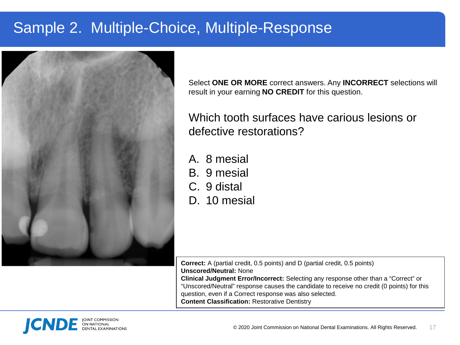### Sample 2. Multiple-Choice, Multiple-Response



Select **ONE OR MORE** correct answers. Any **INCORRECT** selections will result in your earning **NO CREDIT** for this question.

Which tooth surfaces have carious lesions or defective restorations?

- A. 8 mesial
- B. 9 mesial
- C. 9 distal
- D. 10 mesial

**Correct:** A (partial credit, 0.5 points) and D (partial credit, 0.5 points) **Unscored/Neutral:** None **Clinical Judgment Error/Incorrect:** Selecting any response other than a "Correct" or "Unscored/Neutral" response causes the candidate to receive no credit (0 points) for this question, even if a Correct response was also selected. **Content Classification:** Restorative Dentistry

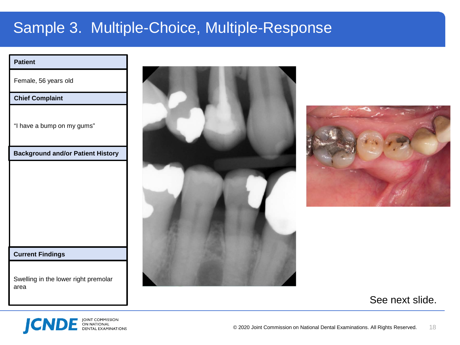### Sample 3. Multiple-Choice, Multiple-Response

#### **Patient**

Female, 56 years old

#### **Chief Complaint**

"I have a bump on my gums"

**Background and/or Patient History**

#### **Current Findings**

Swelling in the lower right premolar area





### See next slide.

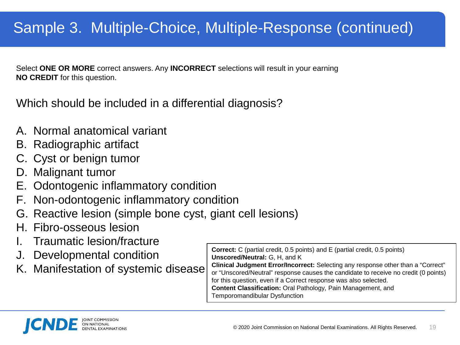### Sample 3. Multiple-Choice, Multiple-Response (continued)

Select **ONE OR MORE** correct answers. Any **INCORRECT** selections will result in your earning **NO CREDIT** for this question.

Which should be included in a differential diagnosis?

- A. Normal anatomical variant
- B. Radiographic artifact
- C. Cyst or benign tumor
- D. Malignant tumor
- E. Odontogenic inflammatory condition
- F. Non-odontogenic inflammatory condition
- G. Reactive lesion (simple bone cyst, giant cell lesions)
- H. Fibro-osseous lesion
- I. Traumatic lesion/fracture
- J. Developmental condition
- K. Manifestation of systemic disease

**Correct:** C (partial credit, 0.5 points) and E (partial credit, 0.5 points) **Unscored/Neutral:** G, H, and K **Clinical Judgment Error/Incorrect:** Selecting any response other than a "Correct" or "Unscored/Neutral" response causes the candidate to receive no credit (0 points) for this question, even if a Correct response was also selected. **Content Classification:** Oral Pathology, Pain Management, and Temporomandibular Dysfunction

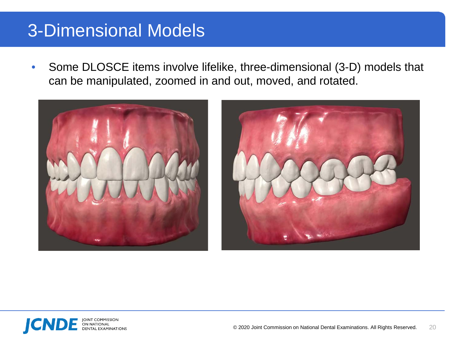### 3-Dimensional Models

• Some DLOSCE items involve lifelike, three-dimensional (3-D) models that can be manipulated, zoomed in and out, moved, and rotated.





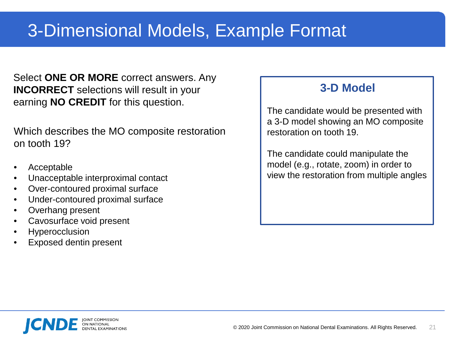Select **ONE OR MORE** correct answers. Any **INCORRECT** selections will result in your earning **NO CREDIT** for this question.

Which describes the MO composite restoration on tooth 19?

- Acceptable
- Unacceptable interproximal contact
- Over-contoured proximal surface
- Under-contoured proximal surface
- Overhang present
- Cavosurface void present
- **Hyperocclusion**
- Exposed dentin present

### **3-D Model**

The candidate would be presented with a 3-D model showing an MO composite restoration on tooth 19.

The candidate could manipulate the model (e.g., rotate, zoom) in order to view the restoration from multiple angles

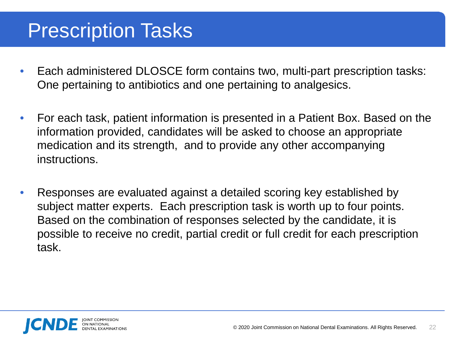## Prescription Tasks

- Each administered DLOSCE form contains two, multi-part prescription tasks: One pertaining to antibiotics and one pertaining to analgesics.
- For each task, patient information is presented in a Patient Box. Based on the information provided, candidates will be asked to choose an appropriate medication and its strength, and to provide any other accompanying instructions.
- Responses are evaluated against a detailed scoring key established by subject matter experts. Each prescription task is worth up to four points. Based on the combination of responses selected by the candidate, it is possible to receive no credit, partial credit or full credit for each prescription task.

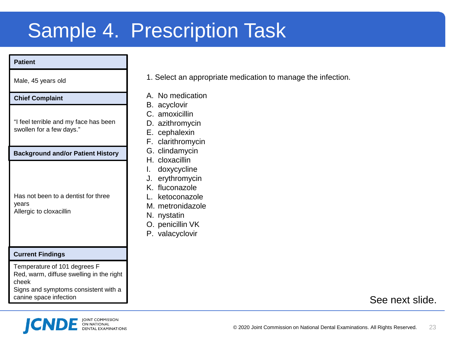## Sample 4. Prescription Task

#### **Patient**

Male, 45 years old

#### **Chief Complaint**

"I feel terrible and my face has been swollen for a few days."

**Background and/or Patient History**

Has not been to a dentist for three years Allergic to cloxacillin

#### **Current Findings**

Temperature of 101 degrees F Red, warm, diffuse swelling in the right cheek Signs and symptoms consistent with a

canine space infection



- A. No medication
- B. acyclovir
- C. amoxicillin
- D. azithromycin
- E. cephalexin
- F. clarithromycin
- G. clindamycin
- H. cloxacillin
- I. doxycycline
- J. erythromycin
- K. fluconazole
- L. ketoconazole
- M. metronidazole
- N. nystatin
- O. penicillin VK
- P. valacyclovir

### See next slide.

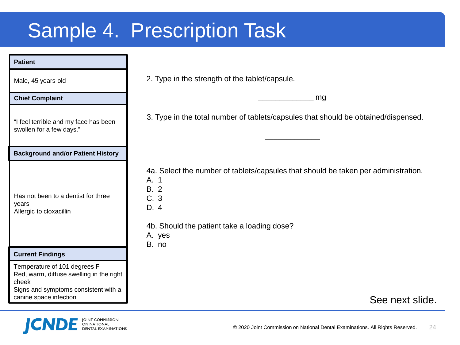# Sample 4. Prescription Task

| <b>Patient</b>                                                                                                            |                                                                                                                                                                                             |  |
|---------------------------------------------------------------------------------------------------------------------------|---------------------------------------------------------------------------------------------------------------------------------------------------------------------------------------------|--|
| Male, 45 years old                                                                                                        | 2. Type in the strength of the tablet/capsule.                                                                                                                                              |  |
| <b>Chief Complaint</b>                                                                                                    | mg                                                                                                                                                                                          |  |
| "I feel terrible and my face has been<br>swollen for a few days."                                                         | 3. Type in the total number of tablets/capsules that should be obtained/dispensed.                                                                                                          |  |
| <b>Background and/or Patient History</b>                                                                                  |                                                                                                                                                                                             |  |
| Has not been to a dentist for three<br>years<br>Allergic to cloxacillin                                                   | 4a. Select the number of tablets/capsules that should be taken per administration.<br>A. 1<br><b>B.</b> 2<br>C. 3<br>D. 4<br>4b. Should the patient take a loading dose?<br>A. yes<br>B. no |  |
| <b>Current Findings</b>                                                                                                   |                                                                                                                                                                                             |  |
| Temperature of 101 degrees F<br>Red, warm, diffuse swelling in the right<br>cheek<br>Signs and symptoms consistent with a |                                                                                                                                                                                             |  |

canine space infection



See next slide.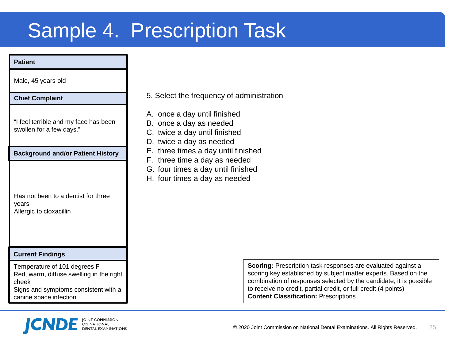## Sample 4. Prescription Task

#### **Patient**

Male, 45 years old

#### **Chief Complaint**

"I feel terrible and my face has been swollen for a few days."

**Background and/or Patient History**

| Has not been to a dentist for three |
|-------------------------------------|
| vears                               |
| Allergic to cloxacillin             |

#### **Current Findings**

Temperature of 101 degrees F Red, warm, diffuse swelling in the right cheek Signs and symptoms consistent with a

canine space infection



- A. once a day until finished
- B. once a day as needed
- C. twice a day until finished
- D. twice a day as needed
- E. three times a day until finished
- F. three time a day as needed
- G. four times a day until finished
- H. four times a day as needed

**Scoring:** Prescription task responses are evaluated against a scoring key established by subject matter experts. Based on the combination of responses selected by the candidate, it is possible to receive no credit, partial credit, or full credit (4 points) **Content Classification:** Prescriptions

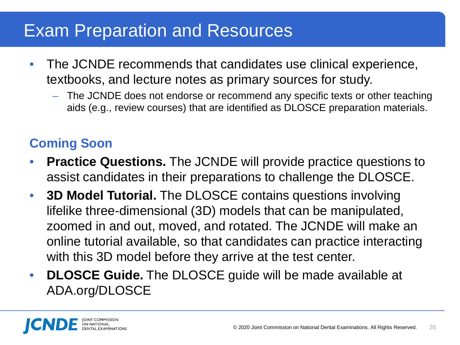### Exam Preparation and Resources

- The JCNDE recommends that candidates use clinical experience, textbooks, and lecture notes as primary sources for study.
	- The JCNDE does not endorse or recommend any specific texts or other teaching aids (e.g., review courses) that are identified as DLOSCE preparation materials.

### **Coming Soon**

- **Practice Questions.** The JCNDE will provide practice questions to assist candidates in their preparations to challenge the DLOSCE.
- **3D Model Tutorial.** The DLOSCE contains questions involving lifelike three-dimensional (3D) models that can be manipulated, zoomed in and out, moved, and rotated. The JCNDE will make an online tutorial available, so that candidates can practice interacting with this 3D model before they arrive at the test center.
- **DLOSCE Guide.** The DLOSCE guide will be made available at ADA.org/DLOSCE

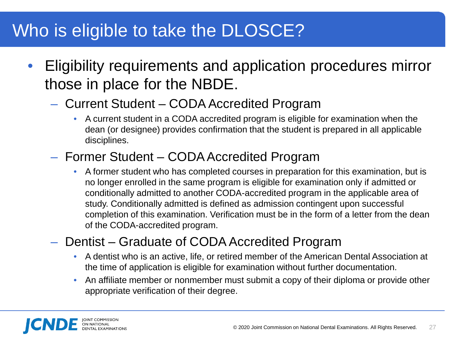### Who is eligible to take the DLOSCE?

- Eligibility requirements and application procedures mirror those in place for the NBDE.
	- Current Student CODA Accredited Program
		- A current student in a CODA accredited program is eligible for examination when the dean (or designee) provides confirmation that the student is prepared in all applicable disciplines.

### – Former Student – CODA Accredited Program

• A former student who has completed courses in preparation for this examination, but is no longer enrolled in the same program is eligible for examination only if admitted or conditionally admitted to another CODA-accredited program in the applicable area of study. Conditionally admitted is defined as admission contingent upon successful completion of this examination. Verification must be in the form of a letter from the dean of the CODA-accredited program.

### – Dentist – Graduate of CODA Accredited Program

- A dentist who is an active, life, or retired member of the American Dental Association at the time of application is eligible for examination without further documentation.
- An affiliate member or nonmember must submit a copy of their diploma or provide other appropriate verification of their degree.

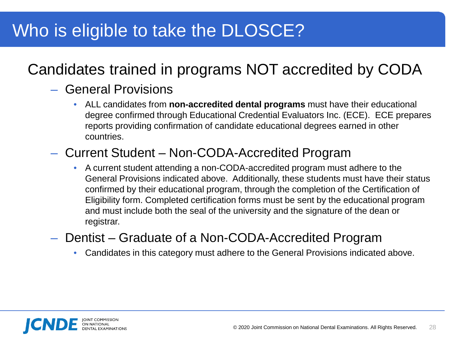## Who is eligible to take the DLOSCE?

### Candidates trained in programs NOT accredited by CODA

### – General Provisions

• ALL candidates from **non-accredited dental programs** must have their educational degree confirmed through Educational Credential Evaluators Inc. (ECE). ECE prepares reports providing confirmation of candidate educational degrees earned in other countries.

### – Current Student – Non-CODA-Accredited Program

• A current student attending a non-CODA-accredited program must adhere to the General Provisions indicated above. Additionally, these students must have their status confirmed by their educational program, through the completion of the Certification of Eligibility form. Completed certification forms must be sent by the educational program and must include both the seal of the university and the signature of the dean or registrar.

### – Dentist – Graduate of a Non-CODA-Accredited Program

• Candidates in this category must adhere to the General Provisions indicated above.

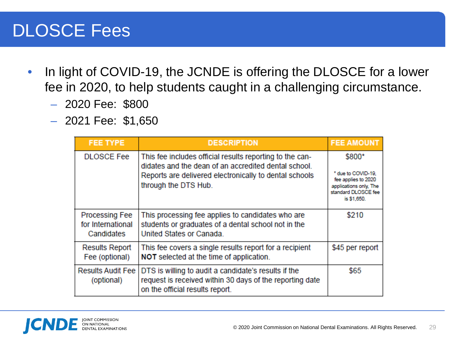### DLOSCE Fees

- In light of COVID-19, the JCNDE is offering the DLOSCE for a lower fee in 2020, to help students caught in a challenging circumstance.
	- 2020 Fee: \$800
	- 2021 Fee: \$1,650

| <b>FEE TYPE</b>                                                                                                                                                                               | <b>DESCRIPTION</b>                                                                                                                                                                                 | <b>FEE AMOUNT</b>                                                                                                   |
|-----------------------------------------------------------------------------------------------------------------------------------------------------------------------------------------------|----------------------------------------------------------------------------------------------------------------------------------------------------------------------------------------------------|---------------------------------------------------------------------------------------------------------------------|
| <b>DLOSCE Fee</b>                                                                                                                                                                             | This fee includes official results reporting to the can-<br>didates and the dean of an accredited dental school.<br>Reports are delivered electronically to dental schools<br>through the DTS Hub. | \$800*<br>* due to COVID-19.<br>fee applies to 2020<br>applications only, The<br>standard DLOSCE fee<br>is \$1,650. |
| <b>Processing Fee</b><br>for International<br>Candidates                                                                                                                                      | This processing fee applies to candidates who are<br>students or graduates of a dental school not in the<br>United States or Canada.                                                               | \$210                                                                                                               |
| This fee covers a single results report for a recipient<br><b>Results Report</b><br>Fee (optional)<br>NOT selected at the time of application.                                                |                                                                                                                                                                                                    | \$45 per report                                                                                                     |
| <b>Results Audit Fee</b><br>DTS is willing to audit a candidate's results if the<br>request is received within 30 days of the reporting date<br>(optional)<br>on the official results report. |                                                                                                                                                                                                    | \$65                                                                                                                |

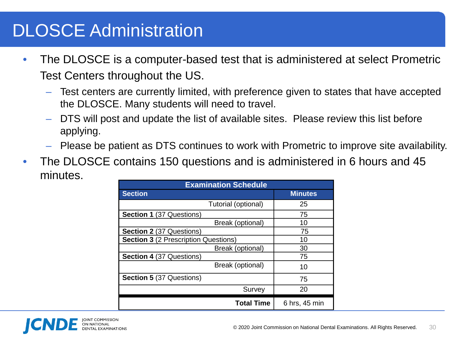## DLOSCE Administration

- The DLOSCE is a computer-based test that is administered at select Prometric Test Centers throughout the US.
	- Test centers are currently limited, with preference given to states that have accepted the DLOSCE. Many students will need to travel.
	- DTS will post and update the list of available sites. Please review this list before applying.
	- Please be patient as DTS continues to work with Prometric to improve site availability.
- The DLOSCE contains 150 questions and is administered in 6 hours and 45 minutes.

| <b>Examination Schedule</b>                 |                |  |  |
|---------------------------------------------|----------------|--|--|
| <b>Section</b>                              | <b>Minutes</b> |  |  |
| Tutorial (optional)                         | 25             |  |  |
| <b>Section 1 (37 Questions)</b>             | 75             |  |  |
| Break (optional)                            | 10             |  |  |
| <b>Section 2 (37 Questions)</b>             | 75             |  |  |
| <b>Section 3</b> (2 Prescription Questions) | 10             |  |  |
| Break (optional)                            | 30             |  |  |
| <b>Section 4 (37 Questions)</b>             | 75             |  |  |
| Break (optional)                            | 10             |  |  |
| <b>Section 5 (37 Questions)</b>             | 75             |  |  |
| Survey                                      | 20             |  |  |
| <b>Total Time</b>                           | 6 hrs, 45 min  |  |  |

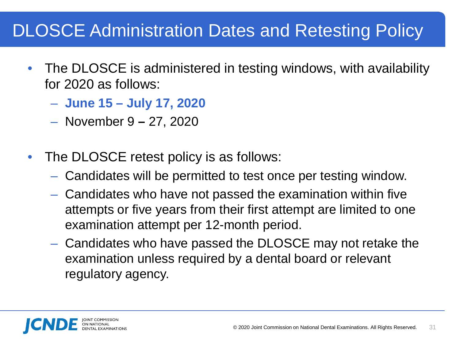## DLOSCE Administration Dates and Retesting Policy

- The DLOSCE is administered in testing windows, with availability for 2020 as follows:
	- **June 15 – July 17, 2020**
	- November 9 **–** 27, 2020
- The DLOSCE retest policy is as follows:
	- Candidates will be permitted to test once per testing window.
	- Candidates who have not passed the examination within five attempts or five years from their first attempt are limited to one examination attempt per 12-month period.
	- Candidates who have passed the DLOSCE may not retake the examination unless required by a dental board or relevant regulatory agency.

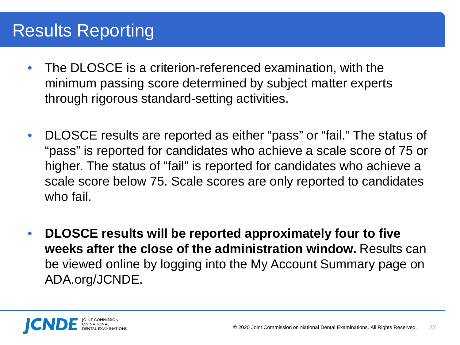### Results Reporting

- The DLOSCE is a criterion-referenced examination, with the minimum passing score determined by subject matter experts through rigorous standard-setting activities.
- DLOSCE results are reported as either "pass" or "fail." The status of "pass" is reported for candidates who achieve a scale score of 75 or higher. The status of "fail" is reported for candidates who achieve a scale score below 75. Scale scores are only reported to candidates who fail.
- **DLOSCE results will be reported approximately four to five weeks after the close of the administration window.** Results can be viewed online by logging into the My Account Summary page on ADA.org/JCNDE.

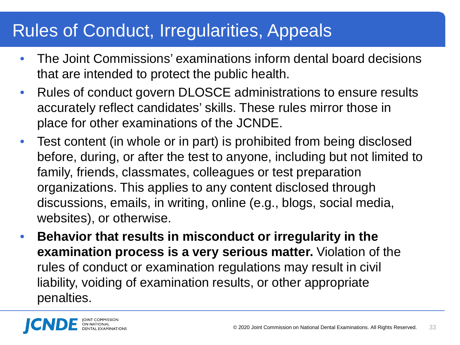### Rules of Conduct, Irregularities, Appeals

- The Joint Commissions' examinations inform dental board decisions that are intended to protect the public health.
- Rules of conduct govern DLOSCE administrations to ensure results accurately reflect candidates' skills. These rules mirror those in place for other examinations of the JCNDE.
- Test content (in whole or in part) is prohibited from being disclosed before, during, or after the test to anyone, including but not limited to family, friends, classmates, colleagues or test preparation organizations. This applies to any content disclosed through discussions, emails, in writing, online (e.g., blogs, social media, websites), or otherwise.
- **Behavior that results in misconduct or irregularity in the examination process is a very serious matter.** Violation of the rules of conduct or examination regulations may result in civil liability, voiding of examination results, or other appropriate penalties.

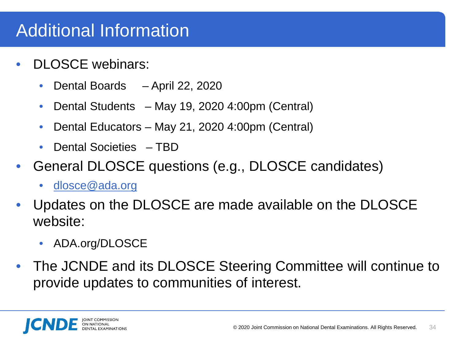### Additional Information

- DLOSCE webinars:
	- Dental Boards April 22, 2020
	- Dental Students May 19, 2020 4:00pm (Central)
	- Dental Educators May 21, 2020 4:00pm (Central)
	- Dental Societies TBD
- General DLOSCE questions (e.g., DLOSCE candidates)
	- [dlosce@ada.org](mailto:katznelsona@ada.org)
- Updates on the DLOSCE are made available on the DLOSCE website:
	- ADA.org/DLOSCE
- The JCNDE and its DLOSCE Steering Committee will continue to provide updates to communities of interest.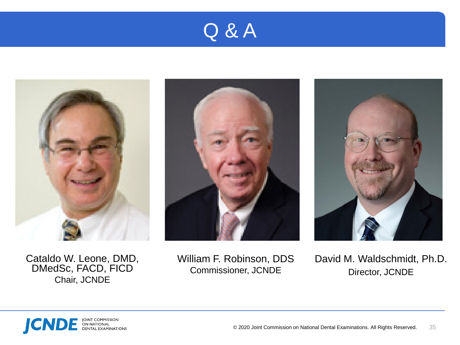## Q & A







Cataldo W. Leone, DMD, DMedSc, FACD, FICD Chair, JCNDE

William F. Robinson, DDS Commissioner, JCNDE

David M. Waldschmidt, Ph.D. Director, JCNDE